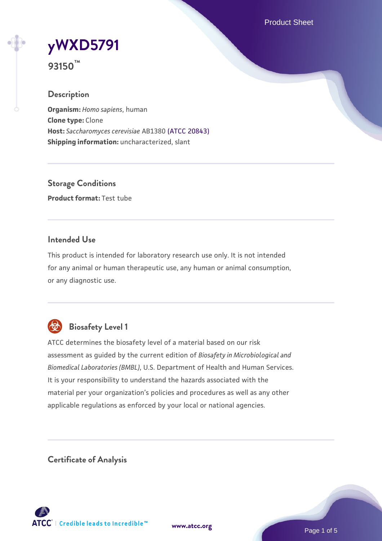Product Sheet

# **[yWXD5791](https://www.atcc.org/products/93150)**

**93150™**

## **Description**

**Organism:** *Homo sapiens*, human **Clone type:** Clone **Host:** *Saccharomyces cerevisiae* AB1380 [\(ATCC 20843\)](https://www.atcc.org/products/20843) **Shipping information:** uncharacterized, slant

**Storage Conditions Product format:** Test tube

## **Intended Use**

This product is intended for laboratory research use only. It is not intended for any animal or human therapeutic use, any human or animal consumption, or any diagnostic use.



## **Biosafety Level 1**

ATCC determines the biosafety level of a material based on our risk assessment as guided by the current edition of *Biosafety in Microbiological and Biomedical Laboratories (BMBL)*, U.S. Department of Health and Human Services. It is your responsibility to understand the hazards associated with the material per your organization's policies and procedures as well as any other applicable regulations as enforced by your local or national agencies.

**Certificate of Analysis**

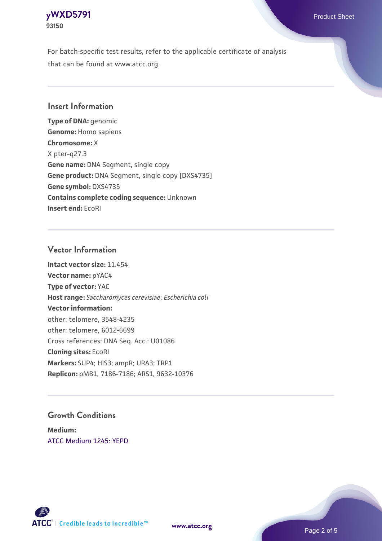## **[yWXD5791](https://www.atcc.org/products/93150)** Product Sheet **93150**

For batch-specific test results, refer to the applicable certificate of analysis that can be found at www.atcc.org.

## **Insert Information**

**Type of DNA:** genomic **Genome:** Homo sapiens **Chromosome:** X X pter-q27.3 **Gene name:** DNA Segment, single copy **Gene product:** DNA Segment, single copy [DXS4735] **Gene symbol:** DXS4735 **Contains complete coding sequence:** Unknown **Insert end:** EcoRI

## **Vector Information**

**Intact vector size:** 11.454 **Vector name:** pYAC4 **Type of vector:** YAC **Host range:** *Saccharomyces cerevisiae*; *Escherichia coli* **Vector information:** other: telomere, 3548-4235 other: telomere, 6012-6699 Cross references: DNA Seq. Acc.: U01086 **Cloning sites:** EcoRI **Markers:** SUP4; HIS3; ampR; URA3; TRP1 **Replicon:** pMB1, 7186-7186; ARS1, 9632-10376

## **Growth Conditions**

**Medium:**  [ATCC Medium 1245: YEPD](https://www.atcc.org/-/media/product-assets/documents/microbial-media-formulations/1/2/4/5/atcc-medium-1245.pdf?rev=705ca55d1b6f490a808a965d5c072196)



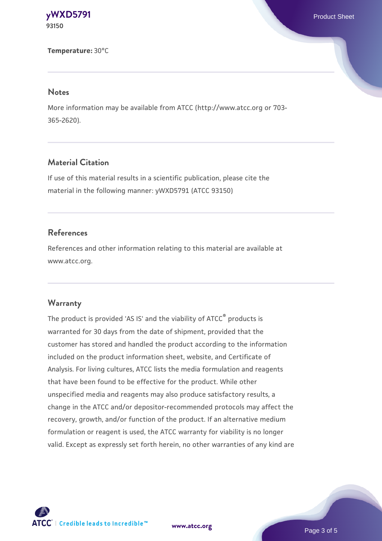**[yWXD5791](https://www.atcc.org/products/93150)** Product Sheet **93150**

**Temperature:** 30°C

#### **Notes**

More information may be available from ATCC (http://www.atcc.org or 703- 365-2620).

## **Material Citation**

If use of this material results in a scientific publication, please cite the material in the following manner: yWXD5791 (ATCC 93150)

## **References**

References and other information relating to this material are available at www.atcc.org.

## **Warranty**

The product is provided 'AS IS' and the viability of ATCC® products is warranted for 30 days from the date of shipment, provided that the customer has stored and handled the product according to the information included on the product information sheet, website, and Certificate of Analysis. For living cultures, ATCC lists the media formulation and reagents that have been found to be effective for the product. While other unspecified media and reagents may also produce satisfactory results, a change in the ATCC and/or depositor-recommended protocols may affect the recovery, growth, and/or function of the product. If an alternative medium formulation or reagent is used, the ATCC warranty for viability is no longer valid. Except as expressly set forth herein, no other warranties of any kind are

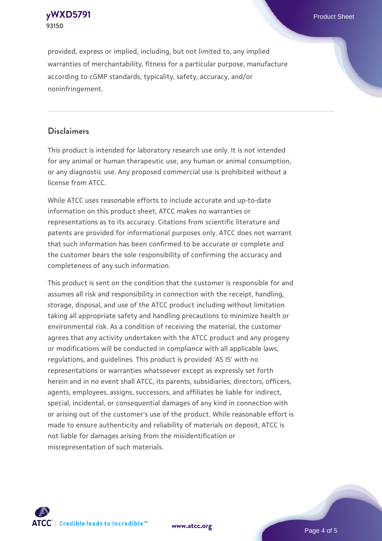**[yWXD5791](https://www.atcc.org/products/93150)** Product Sheet **93150**

provided, express or implied, including, but not limited to, any implied warranties of merchantability, fitness for a particular purpose, manufacture according to cGMP standards, typicality, safety, accuracy, and/or noninfringement.

## **Disclaimers**

This product is intended for laboratory research use only. It is not intended for any animal or human therapeutic use, any human or animal consumption, or any diagnostic use. Any proposed commercial use is prohibited without a license from ATCC.

While ATCC uses reasonable efforts to include accurate and up-to-date information on this product sheet, ATCC makes no warranties or representations as to its accuracy. Citations from scientific literature and patents are provided for informational purposes only. ATCC does not warrant that such information has been confirmed to be accurate or complete and the customer bears the sole responsibility of confirming the accuracy and completeness of any such information.

This product is sent on the condition that the customer is responsible for and assumes all risk and responsibility in connection with the receipt, handling, storage, disposal, and use of the ATCC product including without limitation taking all appropriate safety and handling precautions to minimize health or environmental risk. As a condition of receiving the material, the customer agrees that any activity undertaken with the ATCC product and any progeny or modifications will be conducted in compliance with all applicable laws, regulations, and guidelines. This product is provided 'AS IS' with no representations or warranties whatsoever except as expressly set forth herein and in no event shall ATCC, its parents, subsidiaries, directors, officers, agents, employees, assigns, successors, and affiliates be liable for indirect, special, incidental, or consequential damages of any kind in connection with or arising out of the customer's use of the product. While reasonable effort is made to ensure authenticity and reliability of materials on deposit, ATCC is not liable for damages arising from the misidentification or misrepresentation of such materials.



**[www.atcc.org](http://www.atcc.org)**

Page 4 of 5